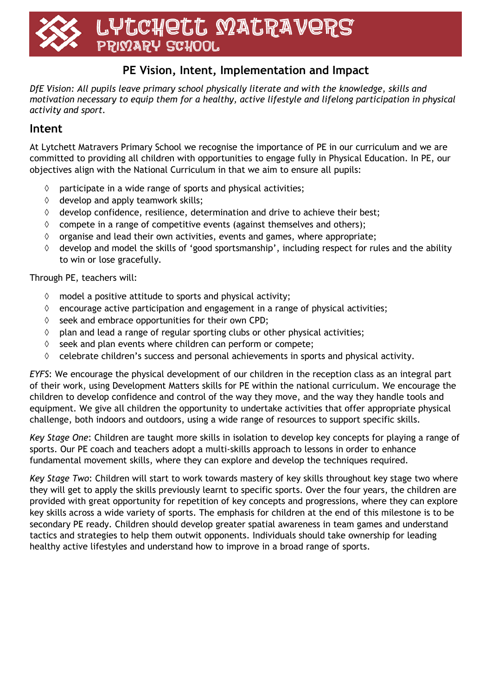# LYtchett MatRaveRS PRIMARY SCHOOL

## **PE Vision, Intent, Implementation and Impact**

*DfE Vision: All pupils leave primary school physically literate and with the knowledge, skills and motivation necessary to equip them for a healthy, active lifestyle and lifelong participation in physical activity and sport.*

#### **Intent**

At Lytchett Matravers Primary School we recognise the importance of PE in our curriculum and we are committed to providing all children with opportunities to engage fully in Physical Education. In PE, our objectives align with the National Curriculum in that we aim to ensure all pupils:

- $\Diamond$  participate in a wide range of sports and physical activities;
- $\Diamond$  develop and apply teamwork skills;
- $\Diamond$  develop confidence, resilience, determination and drive to achieve their best;
- $\lozenge$  compete in a range of competitive events (against themselves and others);
- $\Diamond$  organise and lead their own activities, events and games, where appropriate;
- $\Diamond$  develop and model the skills of 'good sportsmanship', including respect for rules and the ability to win or lose gracefully.

Through PE, teachers will:

- $\Diamond$  model a positive attitude to sports and physical activity;
- $\Diamond$  encourage active participation and engagement in a range of physical activities;
- $\Diamond$  seek and embrace opportunities for their own CPD;
- $\Diamond$  plan and lead a range of regular sporting clubs or other physical activities;
- $\Diamond$  seek and plan events where children can perform or compete;
- $\Diamond$  celebrate children's success and personal achievements in sports and physical activity.

*EYFS*: We encourage the physical development of our children in the reception class as an integral part of their work, using Development Matters skills for PE within the national curriculum. We encourage the children to develop confidence and control of the way they move, and the way they handle tools and equipment. We give all children the opportunity to undertake activities that offer appropriate physical challenge, both indoors and outdoors, using a wide range of resources to support specific skills.

*Key Stage One*: Children are taught more skills in isolation to develop key concepts for playing a range of sports. Our PE coach and teachers adopt a multi-skills approach to lessons in order to enhance fundamental movement skills, where they can explore and develop the techniques required.

*Key Stage Two*: Children will start to work towards mastery of key skills throughout key stage two where they will get to apply the skills previously learnt to specific sports. Over the four years, the children are provided with great opportunity for repetition of key concepts and progressions, where they can explore key skills across a wide variety of sports. The emphasis for children at the end of this milestone is to be secondary PE ready. Children should develop greater spatial awareness in team games and understand tactics and strategies to help them outwit opponents. Individuals should take ownership for leading healthy active lifestyles and understand how to improve in a broad range of sports.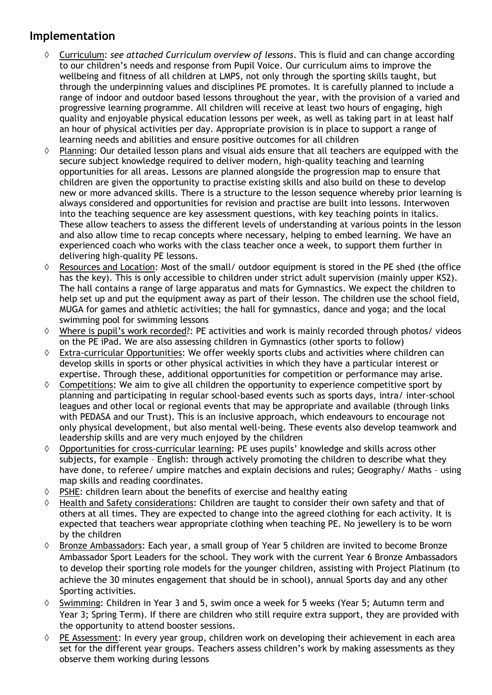### **Implementation**

- Curriculum: *see attached Curriculum overview of lessons*. This is fluid and can change according to our children's needs and response from Pupil Voice. Our curriculum aims to improve the wellbeing and fitness of all children at LMPS, not only through the sporting skills taught, but through the underpinning values and disciplines PE promotes. It is carefully planned to include a range of indoor and outdoor based lessons throughout the year, with the provision of a varied and progressive learning programme. All children will receive at least two hours of engaging, high quality and enjoyable physical education lessons per week, as well as taking part in at least half an hour of physical activities per day. Appropriate provision is in place to support a range of learning needs and abilities and ensure positive outcomes for all children
- Planning: Our detailed lesson plans and visual aids ensure that all teachers are equipped with the secure subject knowledge required to deliver modern, high-quality teaching and learning opportunities for all areas. Lessons are planned alongside the progression map to ensure that children are given the opportunity to practise existing skills and also build on these to develop new or more advanced skills. There is a structure to the lesson sequence whereby prior learning is always considered and opportunities for revision and practise are built into lessons. Interwoven into the teaching sequence are key assessment questions, with key teaching points in italics. These allow teachers to assess the different levels of understanding at various points in the lesson and also allow time to recap concepts where necessary, helping to embed learning. We have an experienced coach who works with the class teacher once a week, to support them further in delivering high-quality PE lessons.
- $\Diamond$  Resources and Location: Most of the small/ outdoor equipment is stored in the PE shed (the office has the key). This is only accessible to children under strict adult supervision (mainly upper KS2). The hall contains a range of large apparatus and mats for Gymnastics. We expect the children to help set up and put the equipment away as part of their lesson. The children use the school field, MUGA for games and athletic activities; the hall for gymnastics, dance and yoga; and the local swimming pool for swimming lessons
- $\Diamond$  Where is pupil's work recorded?: PE activities and work is mainly recorded through photos/ videos on the PE iPad. We are also assessing children in Gymnastics (other sports to follow)
- Extra-curricular Opportunities: We offer weekly sports clubs and activities where children can develop skills in sports or other physical activities in which they have a particular interest or expertise. Through these, additional opportunities for competition or performance may arise.
- $\Diamond$  Competitions: We aim to give all children the opportunity to experience competitive sport by planning and participating in regular school-based events such as sports days, intra/ inter-school leagues and other local or regional events that may be appropriate and available (through links with PEDASA and our Trust). This is an inclusive approach, which endeavours to encourage not only physical development, but also mental well-being. These events also develop teamwork and leadership skills and are very much enjoyed by the children
- $\lozenge$  Opportunities for cross-curricular learning: PE uses pupils' knowledge and skills across other subjects, for example – English: through actively promoting the children to describe what they have done, to referee/ umpire matches and explain decisions and rules; Geography/ Maths – using map skills and reading coordinates.
- $\lozenge$  PSHE: children learn about the benefits of exercise and healthy eating
- Health and Safety considerations: Children are taught to consider their own safety and that of others at all times. They are expected to change into the agreed clothing for each activity. It is expected that teachers wear appropriate clothing when teaching PE. No jewellery is to be worn by the children
- Bronze Ambassadors: Each year, a small group of Year 5 children are invited to become Bronze Ambassador Sport Leaders for the school. They work with the current Year 6 Bronze Ambassadors to develop their sporting role models for the younger children, assisting with Project Platinum (to achieve the 30 minutes engagement that should be in school), annual Sports day and any other Sporting activities.
- $\Diamond$  Swimming: Children in Year 3 and 5, swim once a week for 5 weeks (Year 5; Autumn term and Year 3; Spring Term). If there are children who still require extra support, they are provided with the opportunity to attend booster sessions.
- $\Diamond$  PE Assessment: In every year group, children work on developing their achievement in each area set for the different year groups. Teachers assess children's work by making assessments as they observe them working during lessons